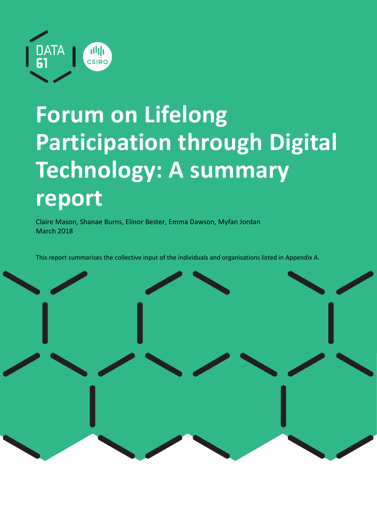

# Forum on Lifelong Participation through Digital Technology: A summary report

Claire Mason, Shanae Burns, Elinor Bester, Emma Dawson, Myfan Jordan March 2018

This report summarises the collective input of the individuals and organisations listed in Appendix A.

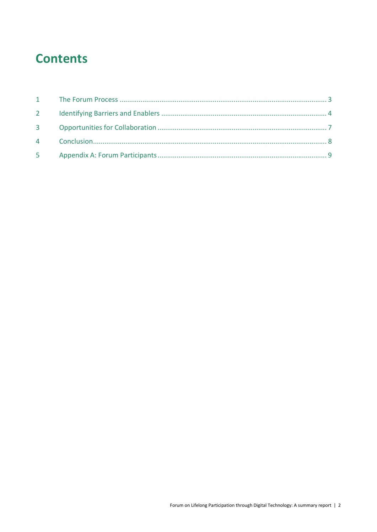### **Contents**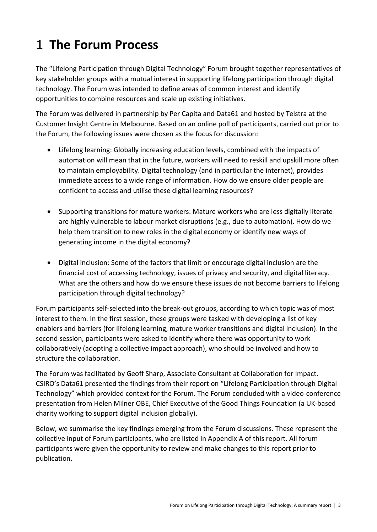# 1 The Forum Process

The "Lifelong Participation through Digital Technology" Forum brought together representatives of key stakeholder groups with a mutual interest in supporting lifelong participation through digital technology. The Forum was intended to define areas of common interest and identify opportunities to combine resources and scale up existing initiatives.

The Forum was delivered in partnership by Per Capita and Data61 and hosted by Telstra at the Customer Insight Centre in Melbourne. Based on an online poll of participants, carried out prior to the Forum, the following issues were chosen as the focus for discussion:

- Lifelong learning: Globally increasing education levels, combined with the impacts of automation will mean that in the future, workers will need to reskill and upskill more often to maintain employability. Digital technology (and in particular the internet), provides immediate access to a wide range of information. How do we ensure older people are confident to access and utilise these digital learning resources?
- Supporting transitions for mature workers: Mature workers who are less digitally literate are highly vulnerable to labour market disruptions (e.g., due to automation). How do we help them transition to new roles in the digital economy or identify new ways of generating income in the digital economy?
- Digital inclusion: Some of the factors that limit or encourage digital inclusion are the financial cost of accessing technology, issues of privacy and security, and digital literacy. What are the others and how do we ensure these issues do not become barriers to lifelong participation through digital technology?

Forum participants self-selected into the break-out groups, according to which topic was of most interest to them. In the first session, these groups were tasked with developing a list of key enablers and barriers (for lifelong learning, mature worker transitions and digital inclusion). In the second session, participants were asked to identify where there was opportunity to work collaboratively (adopting a collective impact approach), who should be involved and how to structure the collaboration.

The Forum was facilitated by Geoff Sharp, Associate Consultant at Collaboration for Impact. CSIRO's Data61 presented the findings from their report on "Lifelong Participation through Digital Technology" which provided context for the Forum. The Forum concluded with a video-conference presentation from Helen Milner OBE, Chief Executive of the Good Things Foundation (a UK-based charity working to support digital inclusion globally).

Below, we summarise the key findings emerging from the Forum discussions. These represent the collective input of Forum participants, who are listed in Appendix A of this report. All forum participants were given the opportunity to review and make changes to this report prior to publication.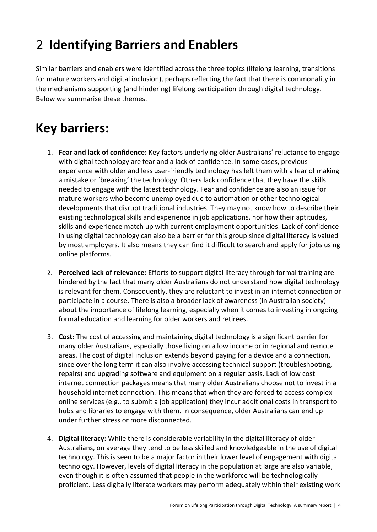## 2 Identifying Barriers and Enablers

Similar barriers and enablers were identified across the three topics (lifelong learning, transitions for mature workers and digital inclusion), perhaps reflecting the fact that there is commonality in the mechanisms supporting (and hindering) lifelong participation through digital technology. Below we summarise these themes.

### Key barriers:

- 1. Fear and lack of confidence: Key factors underlying older Australians' reluctance to engage with digital technology are fear and a lack of confidence. In some cases, previous experience with older and less user-friendly technology has left them with a fear of making a mistake or 'breaking' the technology. Others lack confidence that they have the skills needed to engage with the latest technology. Fear and confidence are also an issue for mature workers who become unemployed due to automation or other technological developments that disrupt traditional industries. They may not know how to describe their existing technological skills and experience in job applications, nor how their aptitudes, skills and experience match up with current employment opportunities. Lack of confidence in using digital technology can also be a barrier for this group since digital literacy is valued by most employers. It also means they can find it difficult to search and apply for jobs using online platforms.
- 2. Perceived lack of relevance: Efforts to support digital literacy through formal training are hindered by the fact that many older Australians do not understand how digital technology is relevant for them. Consequently, they are reluctant to invest in an internet connection or participate in a course. There is also a broader lack of awareness (in Australian society) about the importance of lifelong learning, especially when it comes to investing in ongoing formal education and learning for older workers and retirees.
- 3. Cost: The cost of accessing and maintaining digital technology is a significant barrier for many older Australians, especially those living on a low income or in regional and remote areas. The cost of digital inclusion extends beyond paying for a device and a connection, since over the long term it can also involve accessing technical support (troubleshooting, repairs) and upgrading software and equipment on a regular basis. Lack of low cost internet connection packages means that many older Australians choose not to invest in a household internet connection. This means that when they are forced to access complex online services (e.g., to submit a job application) they incur additional costs in transport to hubs and libraries to engage with them. In consequence, older Australians can end up under further stress or more disconnected.
- 4. Digital literacy: While there is considerable variability in the digital literacy of older Australians, on average they tend to be less skilled and knowledgeable in the use of digital technology. This is seen to be a major factor in their lower level of engagement with digital technology. However, levels of digital literacy in the population at large are also variable, even though it is often assumed that people in the workforce will be technologically proficient. Less digitally literate workers may perform adequately within their existing work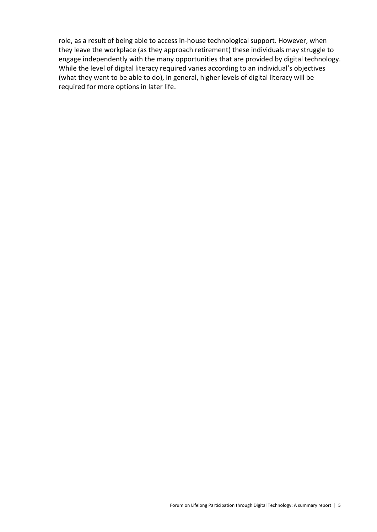role, as a result of being able to access in-house technological support. However, when they leave the workplace (as they approach retirement) these individuals may struggle to engage independently with the many opportunities that are provided by digital technology. While the level of digital literacy required varies according to an individual's objectives (what they want to be able to do), in general, higher levels of digital literacy will be required for more options in later life.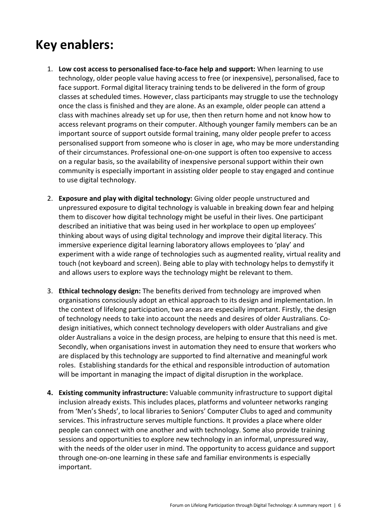### Key enablers:

- 1. Low cost access to personalised face-to-face help and support: When learning to use technology, older people value having access to free (or inexpensive), personalised, face to face support. Formal digital literacy training tends to be delivered in the form of group classes at scheduled times. However, class participants may struggle to use the technology once the class is finished and they are alone. As an example, older people can attend a class with machines already set up for use, then then return home and not know how to access relevant programs on their computer. Although younger family members can be an important source of support outside formal training, many older people prefer to access personalised support from someone who is closer in age, who may be more understanding of their circumstances. Professional one-on-one support is often too expensive to access on a regular basis, so the availability of inexpensive personal support within their own community is especially important in assisting older people to stay engaged and continue to use digital technology.
- 2. Exposure and play with digital technology: Giving older people unstructured and unpressured exposure to digital technology is valuable in breaking down fear and helping them to discover how digital technology might be useful in their lives. One participant described an initiative that was being used in her workplace to open up employees' thinking about ways of using digital technology and improve their digital literacy. This immersive experience digital learning laboratory allows employees to 'play' and experiment with a wide range of technologies such as augmented reality, virtual reality and touch (not keyboard and screen). Being able to play with technology helps to demystify it and allows users to explore ways the technology might be relevant to them.
- 3. Ethical technology design: The benefits derived from technology are improved when organisations consciously adopt an ethical approach to its design and implementation. In the context of lifelong participation, two areas are especially important. Firstly, the design of technology needs to take into account the needs and desires of older Australians. Codesign initiatives, which connect technology developers with older Australians and give older Australians a voice in the design process, are helping to ensure that this need is met. Secondly, when organisations invest in automation they need to ensure that workers who are displaced by this technology are supported to find alternative and meaningful work roles. Establishing standards for the ethical and responsible introduction of automation will be important in managing the impact of digital disruption in the workplace.
- 4. Existing community infrastructure: Valuable community infrastructure to support digital inclusion already exists. This includes places, platforms and volunteer networks ranging from 'Men's Sheds', to local libraries to Seniors' Computer Clubs to aged and community services. This infrastructure serves multiple functions. It provides a place where older people can connect with one another and with technology. Some also provide training sessions and opportunities to explore new technology in an informal, unpressured way, with the needs of the older user in mind. The opportunity to access guidance and support through one-on-one learning in these safe and familiar environments is especially important.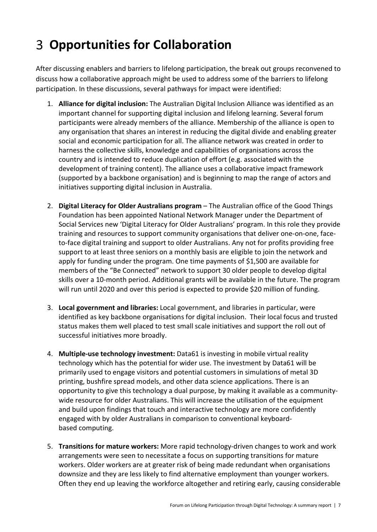# Opportunities for Collaboration

After discussing enablers and barriers to lifelong participation, the break out groups reconvened to discuss how a collaborative approach might be used to address some of the barriers to lifelong participation. In these discussions, several pathways for impact were identified:

- 1. Alliance for digital inclusion: The Australian Digital Inclusion Alliance was identified as an important channel for supporting digital inclusion and lifelong learning. Several forum participants were already members of the alliance. Membership of the alliance is open to any organisation that shares an interest in reducing the digital divide and enabling greater social and economic participation for all. The alliance network was created in order to harness the collective skills, knowledge and capabilities of organisations across the country and is intended to reduce duplication of effort (e.g. associated with the development of training content). The alliance uses a collaborative impact framework (supported by a backbone organisation) and is beginning to map the range of actors and initiatives supporting digital inclusion in Australia.
- 2. Digital Literacy for Older Australians program The Australian office of the Good Things Foundation has been appointed National Network Manager under the Department of Social Services new 'Digital Literacy for Older Australians' program. In this role they provide training and resources to support community organisations that deliver one-on-one, faceto-face digital training and support to older Australians. Any not for profits providing free support to at least three seniors on a monthly basis are eligible to join the network and apply for funding under the program. One time payments of \$1,500 are available for members of the "Be Connected" network to support 30 older people to develop digital skills over a 10-month period. Additional grants will be available in the future. The program will run until 2020 and over this period is expected to provide \$20 million of funding.
- 3. Local government and libraries: Local government, and libraries in particular, were identified as key backbone organisations for digital inclusion. Their local focus and trusted status makes them well placed to test small scale initiatives and support the roll out of successful initiatives more broadly.
- 4. Multiple-use technology investment: Data61 is investing in mobile virtual reality technology which has the potential for wider use. The investment by Data61 will be primarily used to engage visitors and potential customers in simulations of metal 3D printing, bushfire spread models, and other data science applications. There is an opportunity to give this technology a dual purpose, by making it available as a communitywide resource for older Australians. This will increase the utilisation of the equipment and build upon findings that touch and interactive technology are more confidently engaged with by older Australians in comparison to conventional keyboardbased computing.
- 5. Transitions for mature workers: More rapid technology-driven changes to work and work arrangements were seen to necessitate a focus on supporting transitions for mature workers. Older workers are at greater risk of being made redundant when organisations downsize and they are less likely to find alternative employment than younger workers. Often they end up leaving the workforce altogether and retiring early, causing considerable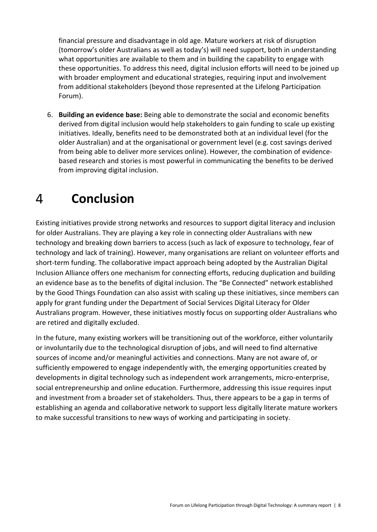financial pressure and disadvantage in old age. Mature workers at risk of disruption (tomorrow's older Australians as well as today's) will need support, both in understanding what opportunities are available to them and in building the capability to engage with these opportunities. To address this need, digital inclusion efforts will need to be joined up with broader employment and educational strategies, requiring input and involvement from additional stakeholders (beyond those represented at the Lifelong Participation Forum).

6. Building an evidence base: Being able to demonstrate the social and economic benefits derived from digital inclusion would help stakeholders to gain funding to scale up existing initiatives. Ideally, benefits need to be demonstrated both at an individual level (for the older Australian) and at the organisational or government level (e.g. cost savings derived from being able to deliver more services online). However, the combination of evidencebased research and stories is most powerful in communicating the benefits to be derived from improving digital inclusion.

#### Conclusion  $\overline{4}$

Existing initiatives provide strong networks and resources to support digital literacy and inclusion for older Australians. They are playing a key role in connecting older Australians with new technology and breaking down barriers to access (such as lack of exposure to technology, fear of technology and lack of training). However, many organisations are reliant on volunteer efforts and short-term funding. The collaborative impact approach being adopted by the Australian Digital Inclusion Alliance offers one mechanism for connecting efforts, reducing duplication and building an evidence base as to the benefits of digital inclusion. The "Be Connected" network established by the Good Things Foundation can also assist with scaling up these initiatives, since members can apply for grant funding under the Department of Social Services Digital Literacy for Older Australians program. However, these initiatives mostly focus on supporting older Australians who are retired and digitally excluded.

In the future, many existing workers will be transitioning out of the workforce, either voluntarily or involuntarily due to the technological disruption of jobs, and will need to find alternative sources of income and/or meaningful activities and connections. Many are not aware of, or sufficiently empowered to engage independently with, the emerging opportunities created by developments in digital technology such as independent work arrangements, micro-enterprise, social entrepreneurship and online education. Furthermore, addressing this issue requires input and investment from a broader set of stakeholders. Thus, there appears to be a gap in terms of establishing an agenda and collaborative network to support less digitally literate mature workers to make successful transitions to new ways of working and participating in society.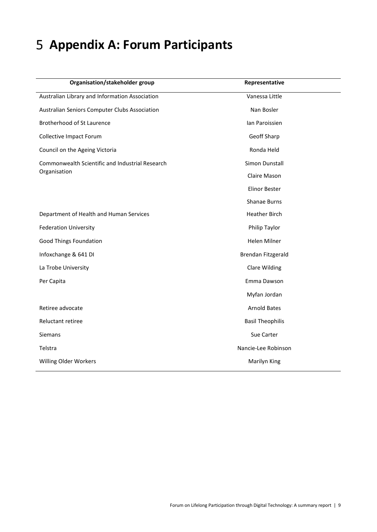## 5 Appendix A: Forum Participants

| Organisation/stakeholder group                  | Representative          |
|-------------------------------------------------|-------------------------|
| Australian Library and Information Association  | Vanessa Little          |
| Australian Seniors Computer Clubs Association   | Nan Bosler              |
| Brotherhood of St Laurence                      | Ian Paroissien          |
| <b>Collective Impact Forum</b>                  | Geoff Sharp             |
| Council on the Ageing Victoria                  | Ronda Held              |
| Commonwealth Scientific and Industrial Research | Simon Dunstall          |
| Organisation                                    | Claire Mason            |
|                                                 | <b>Elinor Bester</b>    |
|                                                 | Shanae Burns            |
| Department of Health and Human Services         | <b>Heather Birch</b>    |
| <b>Federation University</b>                    | Philip Taylor           |
| <b>Good Things Foundation</b>                   | <b>Helen Milner</b>     |
| Infoxchange & 641 DI                            | Brendan Fitzgerald      |
| La Trobe University                             | <b>Clare Wilding</b>    |
| Per Capita                                      | Emma Dawson             |
|                                                 | Myfan Jordan            |
| Retiree advocate                                | <b>Arnold Bates</b>     |
| Reluctant retiree                               | <b>Basil Theophilis</b> |
| Siemans                                         | Sue Carter              |
| Telstra                                         | Nancie-Lee Robinson     |
| Willing Older Workers                           | Marilyn King            |